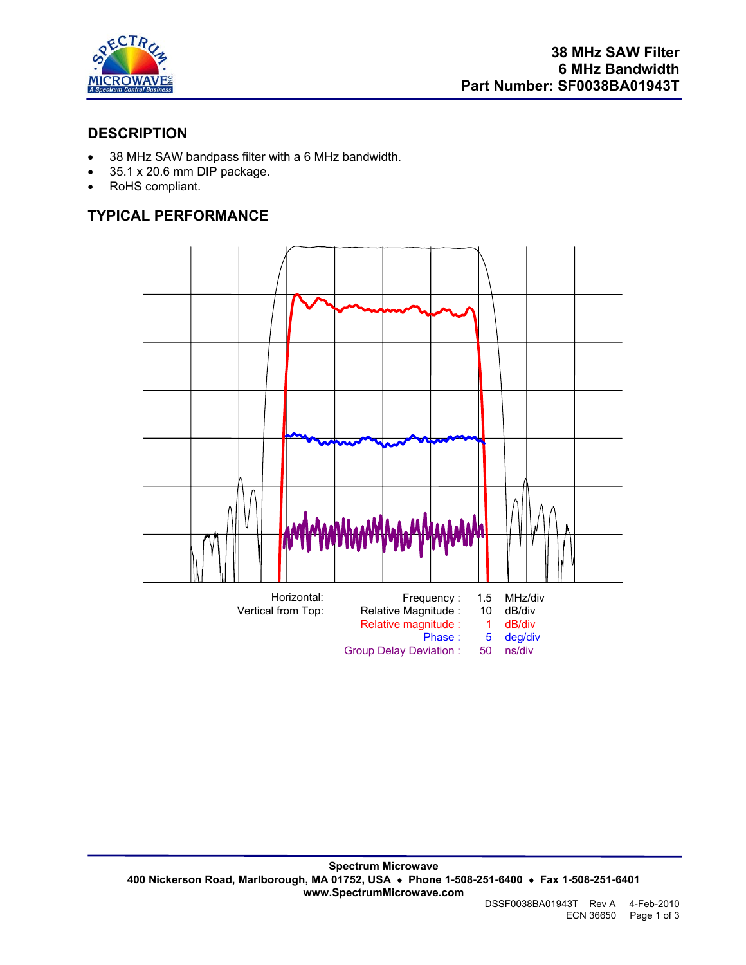

#### **DESCRIPTION**

- 38 MHz SAW bandpass filter with a 6 MHz bandwidth.
- 35.1 x 20.6 mm DIP package.
- RoHS compliant.

# **TYPICAL PERFORMANCE**

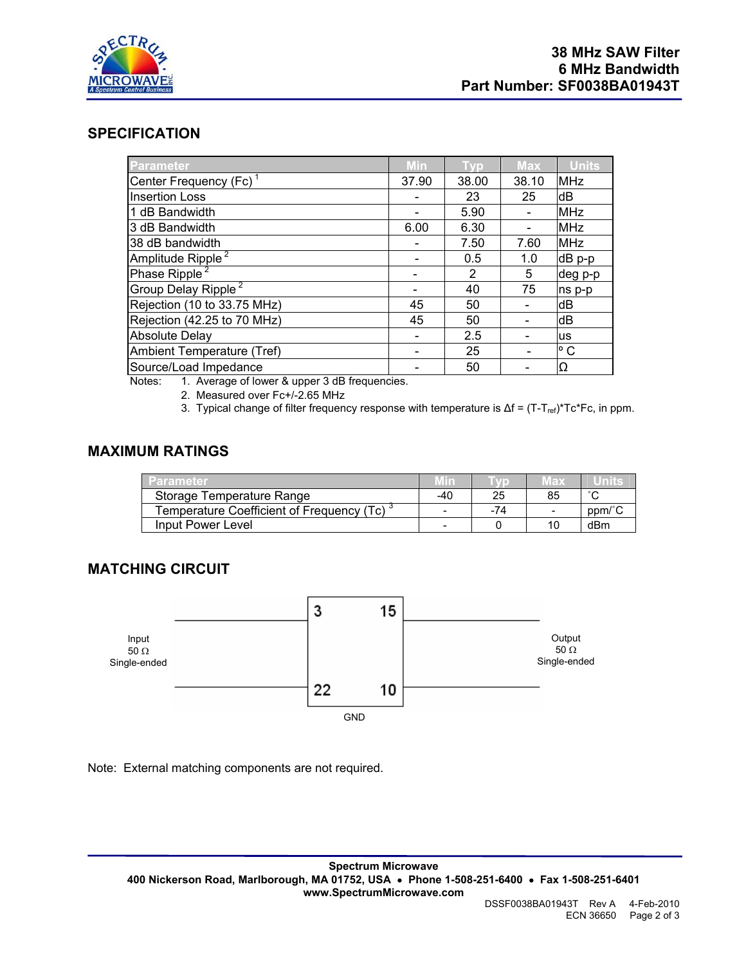

#### **SPECIFICATION**

| Parameter                          | Min   | Tvp   | <b>Max</b> | <b>Units</b> |
|------------------------------------|-------|-------|------------|--------------|
| Center Frequency (Fc) <sup>1</sup> | 37.90 | 38.00 | 38.10      | <b>MHz</b>   |
| <b>Insertion Loss</b>              |       | 23    | 25         | dB           |
| 1 dB Bandwidth                     |       | 5.90  |            | <b>MHz</b>   |
| 3 dB Bandwidth                     | 6.00  | 6.30  |            | <b>MHz</b>   |
| 38 dB bandwidth                    |       | 7.50  | 7.60       | <b>MHz</b>   |
| Amplitude Ripple <sup>2</sup>      |       | 0.5   | 1.0        | dB p-p       |
| Phase Ripple <sup>2</sup>          |       | 2     | 5          | deg p-p      |
| Group Delay Ripple <sup>2</sup>    |       | 40    | 75         | ns p-p       |
| Rejection (10 to 33.75 MHz)        | 45    | 50    |            | dB           |
| Rejection (42.25 to 70 MHz)        | 45    | 50    |            | dB           |
| <b>Absolute Delay</b>              |       | 2.5   |            | <b>us</b>    |
| Ambient Temperature (Tref)         |       | 25    |            | $^{\circ}$ C |
| Source/Load Impedance              |       | 50    |            | Ω            |

Notes: 1. Average of lower & upper 3 dB frequencies.

2. Measured over Fc+/-2.65 MHz

3. Typical change of filter frequency response with temperature is  $\Delta f = (T-T_{ref})^*Tc^*Fc$ , in ppm.

## **MAXIMUM RATINGS**

| Parameter                                   | Min |     | Max                      | ™U∐∏ns⊶ |
|---------------------------------------------|-----|-----|--------------------------|---------|
| Storage Temperature Range                   | -40 | 25  | 85                       | $\sim$  |
| Temperature Coefficient of Frequency (Tc) ` | -   | -74 | $\overline{\phantom{0}}$ | ppm/°C  |
| Input Power Level                           | -   |     | 10                       | dBm     |

#### **MATCHING CIRCUIT**



Note: External matching components are not required.